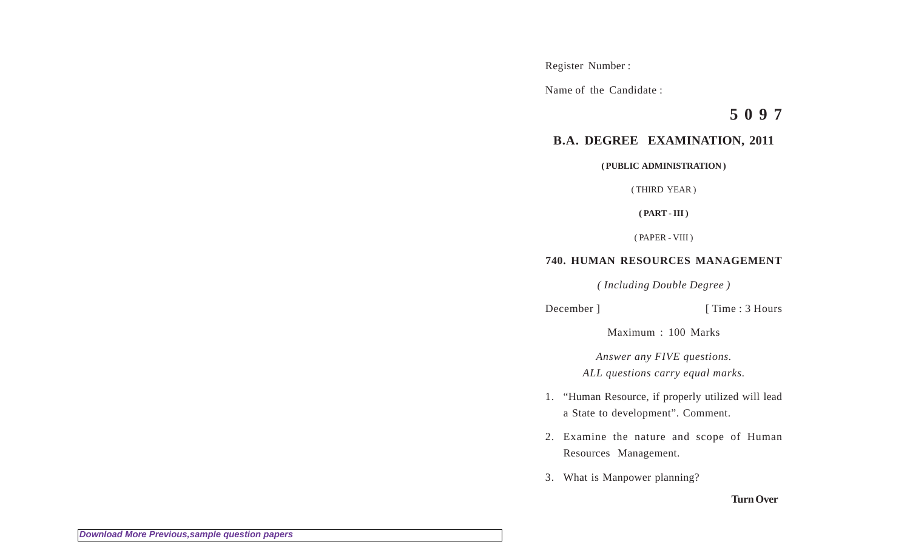Register Number :

Name of the Candidate :

**5 0 9 7**

## **B.A. DEGREE EXAMINATION, 2011**

**( PUBLIC ADMINISTRATION )**

( THIRD YEAR )

**( PART - III )**

( PAPER - VIII )

## **740. HUMAN RESOURCES MANAGEMENT**

*( Including Double Degree )*

December ] [ Time : 3 Hours

Maximum : 100 Marks

*Answer any FIVE questions. ALL questions carry equal marks.*

- 1. "Human Resource, if properly utilized will lead a State to development". Comment.
- 2. Examine the nature and scope of Human Resources Management.
- 3. What is Manpower planning?

## **Turn Over**